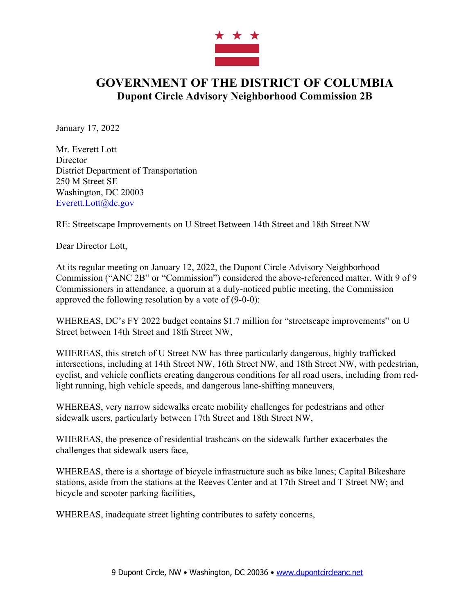

## **GOVERNMENT OF THE DISTRICT OF COLUMBIA Dupont Circle Advisory Neighborhood Commission 2B**

January 17, 2022

Mr. Everett Lott **Director** District Department of Transportation 250 M Street SE Washington, DC 20003 Everett.Lott@dc.gov

RE: Streetscape Improvements on U Street Between 14th Street and 18th Street NW

Dear Director Lott,

At its regular meeting on January 12, 2022, the Dupont Circle Advisory Neighborhood Commission ("ANC 2B" or "Commission") considered the above-referenced matter. With 9 of 9 Commissioners in attendance, a quorum at a duly-noticed public meeting, the Commission approved the following resolution by a vote of (9-0-0):

WHEREAS, DC's FY 2022 budget contains \$1.7 million for "streetscape improvements" on U Street between 14th Street and 18th Street NW,

WHEREAS, this stretch of U Street NW has three particularly dangerous, highly trafficked intersections, including at 14th Street NW, 16th Street NW, and 18th Street NW, with pedestrian, cyclist, and vehicle conflicts creating dangerous conditions for all road users, including from redlight running, high vehicle speeds, and dangerous lane-shifting maneuvers,

WHEREAS, very narrow sidewalks create mobility challenges for pedestrians and other sidewalk users, particularly between 17th Street and 18th Street NW,

WHEREAS, the presence of residential trashcans on the sidewalk further exacerbates the challenges that sidewalk users face,

WHEREAS, there is a shortage of bicycle infrastructure such as bike lanes; Capital Bikeshare stations, aside from the stations at the Reeves Center and at 17th Street and T Street NW; and bicycle and scooter parking facilities,

WHEREAS, inadequate street lighting contributes to safety concerns,